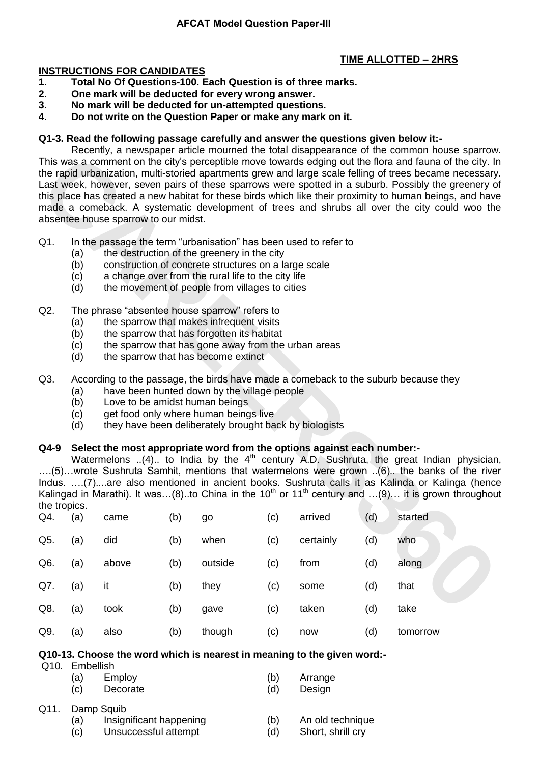# **TIME ALLOTTED – 2HRS**

#### **INSTRUCTIONS FOR CANDIDATES**

- **1. Total No Of Questions-100. Each Question is of three marks.**
- **2. One mark will be deducted for every wrong answer.**
- **3. No mark will be deducted for un-attempted questions.**
- **4. Do not write on the Question Paper or make any mark on it.**

#### **Q1-3. Read the following passage carefully and answer the questions given below it:-**

Recently, a newspaper article mourned the total disappearance of the common house sparrow. This was a comment on the city"s perceptible move towards edging out the flora and fauna of the city. In the rapid urbanization, multi-storied apartments grew and large scale felling of trees became necessary. Last week, however, seven pairs of these sparrows were spotted in a suburb. Possibly the greenery of this place has created a new habitat for these birds which like their proximity to human beings, and have made a comeback. A systematic development of trees and shrubs all over the city could woo the absentee house sparrow to our midst.

- Q1. In the passage the term "urbanisation" has been used to refer to
	- (a) the destruction of the greenery in the city
	- (b) construction of concrete structures on a large scale
	- (c) a change over from the rural life to the city life
	- (d) the movement of people from villages to cities
- Q2. The phrase "absentee house sparrow" refers to
	- (a) the sparrow that makes infrequent visits
	- (b) the sparrow that has forgotten its habitat
	- (c) the sparrow that has gone away from the urban areas
	- (d) the sparrow that has become extinct

# Q3. According to the passage, the birds have made a comeback to the suburb because they

- (a) have been hunted down by the village people
- (b) Love to be amidst human beings
- (c) get food only where human beings live
- (d) they have been deliberately brought back by biologists

## **Q4-9 Select the most appropriate word from the options against each number:-**

| (a)<br>(b)<br>(c)<br>(d)                                                                                                                                                                                                                                                                                                                                                                                                                                                                                                         | the destruction of the greenery in the city<br>construction of concrete structures on a large scale<br>a change over from the rural life to the city life<br>the movement of people from villages to cities                                                             |                      |                   |                                                               |                                                                    |                                                                                                  |                                                                                                                                                                                                                                                                                                                                                                                                                                                                                                                                                                                                                                                              |  |  |  |
|----------------------------------------------------------------------------------------------------------------------------------------------------------------------------------------------------------------------------------------------------------------------------------------------------------------------------------------------------------------------------------------------------------------------------------------------------------------------------------------------------------------------------------|-------------------------------------------------------------------------------------------------------------------------------------------------------------------------------------------------------------------------------------------------------------------------|----------------------|-------------------|---------------------------------------------------------------|--------------------------------------------------------------------|--------------------------------------------------------------------------------------------------|--------------------------------------------------------------------------------------------------------------------------------------------------------------------------------------------------------------------------------------------------------------------------------------------------------------------------------------------------------------------------------------------------------------------------------------------------------------------------------------------------------------------------------------------------------------------------------------------------------------------------------------------------------------|--|--|--|
| (a)<br>(b)<br>(c)<br>(d)                                                                                                                                                                                                                                                                                                                                                                                                                                                                                                         | the sparrow that makes infrequent visits<br>the sparrow that has forgotten its habitat<br>the sparrow that has gone away from the urban areas<br>the sparrow that has become extinct                                                                                    |                      |                   |                                                               |                                                                    |                                                                                                  |                                                                                                                                                                                                                                                                                                                                                                                                                                                                                                                                                                                                                                                              |  |  |  |
| (a)<br>(b)<br>(c)<br>(d)                                                                                                                                                                                                                                                                                                                                                                                                                                                                                                         | According to the passage, the birds have made a comeback to the suburb because they<br>have been hunted down by the village people<br>Love to be amidst human beings<br>get food only where human beings live<br>they have been deliberately brought back by biologists |                      |                   |                                                               |                                                                    |                                                                                                  |                                                                                                                                                                                                                                                                                                                                                                                                                                                                                                                                                                                                                                                              |  |  |  |
| Select the most appropriate word from the options against each number:-<br>Q4-9<br>Watermelons (4) to India by the 4 <sup>th</sup> century A.D. Sushruta, the great Indian physician<br>(5)wrote Sushruta Samhit, mentions that watermelons were grown (6) the banks of the river<br>Indus. (7)are also mentioned in ancient books. Sushruta calls it as Kalinda or Kalinga (hence<br>Kalingad in Marathi). It was(8)to China in the 10 <sup>th</sup> or 11 <sup>th</sup> century and (9) it is grown throughout<br>the tropics. |                                                                                                                                                                                                                                                                         |                      |                   |                                                               |                                                                    |                                                                                                  |                                                                                                                                                                                                                                                                                                                                                                                                                                                                                                                                                                                                                                                              |  |  |  |
|                                                                                                                                                                                                                                                                                                                                                                                                                                                                                                                                  |                                                                                                                                                                                                                                                                         |                      |                   |                                                               |                                                                    |                                                                                                  | started<br>who                                                                                                                                                                                                                                                                                                                                                                                                                                                                                                                                                                                                                                               |  |  |  |
|                                                                                                                                                                                                                                                                                                                                                                                                                                                                                                                                  |                                                                                                                                                                                                                                                                         |                      |                   |                                                               |                                                                    |                                                                                                  | along                                                                                                                                                                                                                                                                                                                                                                                                                                                                                                                                                                                                                                                        |  |  |  |
| (a)                                                                                                                                                                                                                                                                                                                                                                                                                                                                                                                              | it                                                                                                                                                                                                                                                                      | (b)                  | they              | (c)                                                           | some                                                               | (d)                                                                                              | that                                                                                                                                                                                                                                                                                                                                                                                                                                                                                                                                                                                                                                                         |  |  |  |
| (a)                                                                                                                                                                                                                                                                                                                                                                                                                                                                                                                              | took                                                                                                                                                                                                                                                                    | (b)                  | gave              | (c)                                                           | taken                                                              | (d)                                                                                              | take                                                                                                                                                                                                                                                                                                                                                                                                                                                                                                                                                                                                                                                         |  |  |  |
| (a)                                                                                                                                                                                                                                                                                                                                                                                                                                                                                                                              | also<br>(b)<br>though<br>(c)<br>(d)<br>now<br>tomorrow                                                                                                                                                                                                                  |                      |                   |                                                               |                                                                    |                                                                                                  |                                                                                                                                                                                                                                                                                                                                                                                                                                                                                                                                                                                                                                                              |  |  |  |
|                                                                                                                                                                                                                                                                                                                                                                                                                                                                                                                                  | (a)<br>(a)<br>(a)                                                                                                                                                                                                                                                       | came<br>did<br>above | (b)<br>(b)<br>(b) | absentee house sparrow to our midst.<br>go<br>when<br>outside | The phrase "absentee house sparrow" refers to<br>(c)<br>(c)<br>(c) | In the passage the term "urbanisation" has been used to refer to<br>arrived<br>certainly<br>from | Recently, a newspaper anticle modified the total disappearance of the common nouse spanow.<br>This was a comment on the city's perceptible move towards edging out the flora and fauna of the city. In<br>the rapid urbanization, multi-storied apartments grew and large scale felling of trees became necessary<br>Last week, however, seven pairs of these sparrows were spotted in a suburb. Possibly the greenery of<br>this place has created a new habitat for these birds which like their proximity to human beings, and have<br>made a comeback. A systematic development of trees and shrubs all over the city could woo the<br>(d)<br>(d)<br>(d) |  |  |  |

# **Q10-13. Choose the word which is nearest in meaning to the given word:-**

Q10. Embellish

| (a) | Employ   | (b) | Arrange |
|-----|----------|-----|---------|
| (C) | Decorate | (d) | Design  |
|     |          |     |         |

Q11. Damp Squib

- (a) Insignificant happening (b) An old technique
- (c) Unsuccessful attempt (d) Short, shrill cry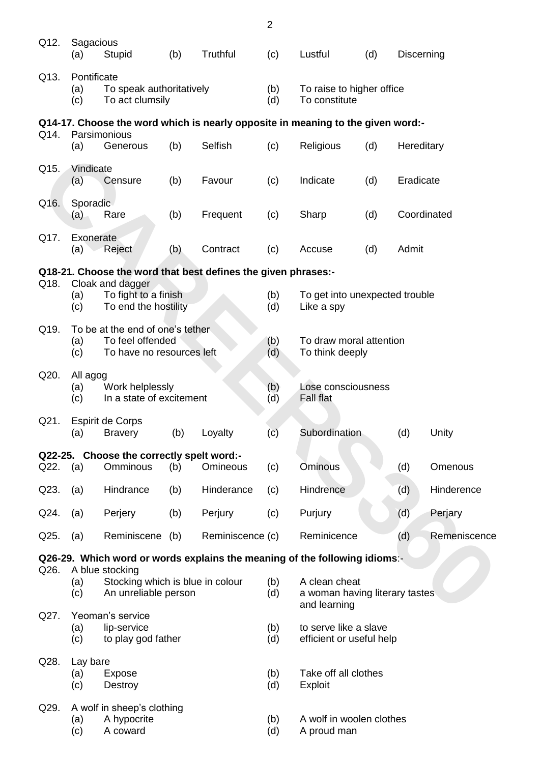|          |                                                                                                 |                                                                             |     |                                                                                 | $\overline{2}$ |                                                                 |     |             |              |
|----------|-------------------------------------------------------------------------------------------------|-----------------------------------------------------------------------------|-----|---------------------------------------------------------------------------------|----------------|-----------------------------------------------------------------|-----|-------------|--------------|
| Q12.     | Sagacious<br>(a)                                                                                | Stupid                                                                      | (b) | Truthful                                                                        | (c)            | Lustful                                                         | (d) | Discerning  |              |
| Q13.     | Pontificate<br>To speak authoritatively<br>(a)<br>To act clumsily<br>(c)                        |                                                                             |     |                                                                                 |                | To raise to higher office<br>To constitute                      |     |             |              |
|          |                                                                                                 |                                                                             |     | Q14-17. Choose the word which is nearly opposite in meaning to the given word:- |                |                                                                 |     |             |              |
| Q14.     | (a)                                                                                             | Parsimonious<br>Generous                                                    | (b) | <b>Selfish</b>                                                                  | (c)            | Religious                                                       | (d) | Hereditary  |              |
| Q15.     | Vindicate<br>(a)                                                                                | Censure                                                                     | (b) | Favour                                                                          | (c)            | Indicate                                                        | (d) | Eradicate   |              |
| Q16.     | Sporadic<br>(a)                                                                                 | Rare                                                                        | (b) | Frequent                                                                        | (c)            | Sharp                                                           | (d) | Coordinated |              |
| Q17.     | Exonerate<br>(a)                                                                                | Reject                                                                      | (b) | Contract                                                                        | (c)            | Accuse                                                          | (d) | Admit       |              |
|          |                                                                                                 |                                                                             |     | Q18-21. Choose the word that best defines the given phrases:-                   |                |                                                                 |     |             |              |
| Q18.     | (a)<br>(c)                                                                                      | Cloak and dagger<br>To fight to a finish<br>To end the hostility            |     |                                                                                 | (b)<br>(d)     | To get into unexpected trouble<br>Like a spy                    |     |             |              |
| Q19.     | To be at the end of one's tether<br>To feel offended<br>(a)<br>(c)<br>To have no resources left |                                                                             |     |                                                                                 |                | To draw moral attention<br>To think deeply                      |     |             |              |
| Q20.     | (a)<br>(c)                                                                                      | All agog<br>Work helplessly<br>In a state of excitement                     |     |                                                                                 |                | Lose consciousness<br>Fall flat                                 |     |             |              |
| Q21.     | (a)                                                                                             | <b>Espirit de Corps</b><br><b>Bravery</b>                                   | (b) | Loyalty                                                                         | (c)            | Subordination                                                   |     | (d)         | Unity        |
| Q22. (a) |                                                                                                 | Q22-25. Choose the correctly spelt word:-<br><b>Omminous</b>                | (b) | Omineous                                                                        | (c)            | Ominous                                                         |     | (d)         | Omenous      |
| Q23.     | (a)                                                                                             | Hindrance                                                                   | (b) | Hinderance                                                                      | (c)            | Hindrence                                                       |     | (d)         | Hinderence   |
| Q24.     | (a)                                                                                             | Perjery                                                                     | (b) | Perjury                                                                         | (c)            | Purjury                                                         |     | (d)         | Perjary      |
| Q25.     | (a)                                                                                             | Reminiscene                                                                 | (b) | Reminiscence (c)                                                                |                | Reminicence                                                     |     | (d)         | Remeniscence |
|          |                                                                                                 |                                                                             |     | Q26-29. Which word or words explains the meaning of the following idioms:-      |                |                                                                 |     |             |              |
| Q26.     | (a)<br>(c)                                                                                      | A blue stocking<br>Stocking which is blue in colour<br>An unreliable person |     |                                                                                 | (b)<br>(d)     | A clean cheat<br>a woman having literary tastes<br>and learning |     |             |              |
| Q27.     | (a)<br>(c)                                                                                      | Yeoman's service<br>lip-service<br>to play god father                       |     |                                                                                 |                | to serve like a slave<br>efficient or useful help               |     |             |              |
| Q28.     | Lay bare<br>(a)<br>Expose<br>(c)<br>Destroy                                                     |                                                                             |     |                                                                                 | (b)<br>(d)     | Take off all clothes<br>Exploit                                 |     |             |              |
| Q29.     | (a)<br>(c)                                                                                      | A wolf in sheep's clothing<br>A hypocrite<br>A coward                       |     |                                                                                 | (b)<br>(d)     | A wolf in woolen clothes<br>A proud man                         |     |             |              |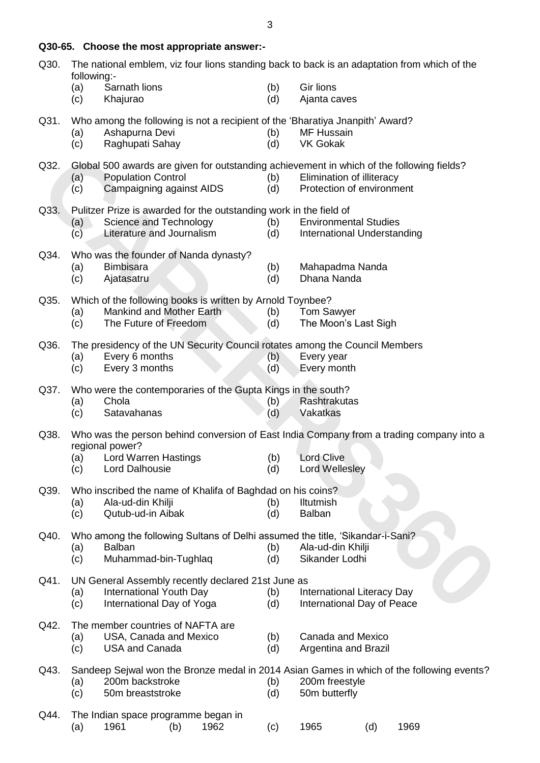| Q30. | The national emblem, viz four lions standing back to back is an adaptation from which of the<br>following:-                                                                                                                              |                                                                                                                                                      |  |  |  |  |  |  |  |  |  |
|------|------------------------------------------------------------------------------------------------------------------------------------------------------------------------------------------------------------------------------------------|------------------------------------------------------------------------------------------------------------------------------------------------------|--|--|--|--|--|--|--|--|--|
|      | (a)<br>Sarnath lions<br>(c)<br>Khajurao                                                                                                                                                                                                  | Gir lions<br>(b)<br>(d)<br>Ajanta caves                                                                                                              |  |  |  |  |  |  |  |  |  |
| Q31. | Who among the following is not a recipient of the 'Bharatiya Jnanpith' Award?<br>Ashapurna Devi<br>(a)<br>Raghupati Sahay<br>(c)                                                                                                         | <b>MF Hussain</b><br>(b)<br>(d)<br><b>VK Gokak</b>                                                                                                   |  |  |  |  |  |  |  |  |  |
| Q32. | Global 500 awards are given for outstanding achievement in which of the following fields?<br><b>Population Control</b><br>Elimination of illiteracy<br>(b)<br>(a)<br>Campaigning against AIDS<br>Protection of environment<br>(c)<br>(d) |                                                                                                                                                      |  |  |  |  |  |  |  |  |  |
| Q33. | Pulitzer Prize is awarded for the outstanding work in the field of<br>Science and Technology<br><b>Environmental Studies</b><br>(b)<br>(a)<br>Literature and Journalism<br>International Understanding<br>(c)<br>(d)                     |                                                                                                                                                      |  |  |  |  |  |  |  |  |  |
| Q34. | Who was the founder of Nanda dynasty?<br><b>Bimbisara</b><br>Mahapadma Nanda<br>(a)<br>(b)<br>Dhana Nanda<br>(c)<br>Ajatasatru<br>(d)                                                                                                    |                                                                                                                                                      |  |  |  |  |  |  |  |  |  |
| Q35. | Which of the following books is written by Arnold Toynbee?<br>Mankind and Mother Earth<br><b>Tom Sawyer</b><br>(b)<br>(a)<br>The Future of Freedom<br>The Moon's Last Sigh<br>(c)<br>(d)                                                 |                                                                                                                                                      |  |  |  |  |  |  |  |  |  |
| Q36. | The presidency of the UN Security Council rotates among the Council Members<br>Every 6 months<br>(a)<br>Every 3 months<br>(c)                                                                                                            | Every year<br>(b)<br>Every month<br>(d)                                                                                                              |  |  |  |  |  |  |  |  |  |
| Q37. | Who were the contemporaries of the Gupta Kings in the south?<br>Chola<br>Rashtrakutas<br>(b)<br>(a)<br>(d)<br>(c)<br>Satavahanas<br>Vakatkas                                                                                             |                                                                                                                                                      |  |  |  |  |  |  |  |  |  |
| Q38. | regional power?<br>Lord Warren Hastings<br>(a)<br>Lord Dalhousie<br>(c)                                                                                                                                                                  | Who was the person behind conversion of East India Company from a trading company into a<br><b>Lord Clive</b><br>(b)<br>(d)<br><b>Lord Wellesley</b> |  |  |  |  |  |  |  |  |  |
| Q39. | Who inscribed the name of Khalifa of Baghdad on his coins?<br>Ala-ud-din Khilji<br>(a)<br>Qutub-ud-in Aibak<br>(c)                                                                                                                       | (b)<br><b>Iltutmish</b><br><b>Balban</b><br>(d)                                                                                                      |  |  |  |  |  |  |  |  |  |
| Q40. | Who among the following Sultans of Delhi assumed the title, 'Sikandar-i-Sani?<br><b>Balban</b><br>(a)<br>Muhammad-bin-Tughlaq<br>(c)                                                                                                     | (b)<br>Ala-ud-din Khilji<br>Sikander Lodhi<br>(d)                                                                                                    |  |  |  |  |  |  |  |  |  |
| Q41. | UN General Assembly recently declared 21st June as<br>International Youth Day<br>(a)<br>International Day of Yoga<br>(c)                                                                                                                 | International Literacy Day<br>(b)<br>International Day of Peace<br>(d)                                                                               |  |  |  |  |  |  |  |  |  |
| Q42. | The member countries of NAFTA are<br>USA, Canada and Mexico<br>(a)<br>(c)<br><b>USA and Canada</b>                                                                                                                                       | Canada and Mexico<br>(b)<br>(d)<br>Argentina and Brazil                                                                                              |  |  |  |  |  |  |  |  |  |
| Q43. | 200m backstroke<br>(a)<br>(c)<br>50m breaststroke                                                                                                                                                                                        | Sandeep Sejwal won the Bronze medal in 2014 Asian Games in which of the following events?<br>200m freestyle<br>(b)<br>(d)<br>50m butterfly           |  |  |  |  |  |  |  |  |  |
| Q44. | The Indian space programme began in<br>1962<br>1961<br>(a)<br>(b)                                                                                                                                                                        | 1965<br>1969<br>(d)<br>(c)                                                                                                                           |  |  |  |  |  |  |  |  |  |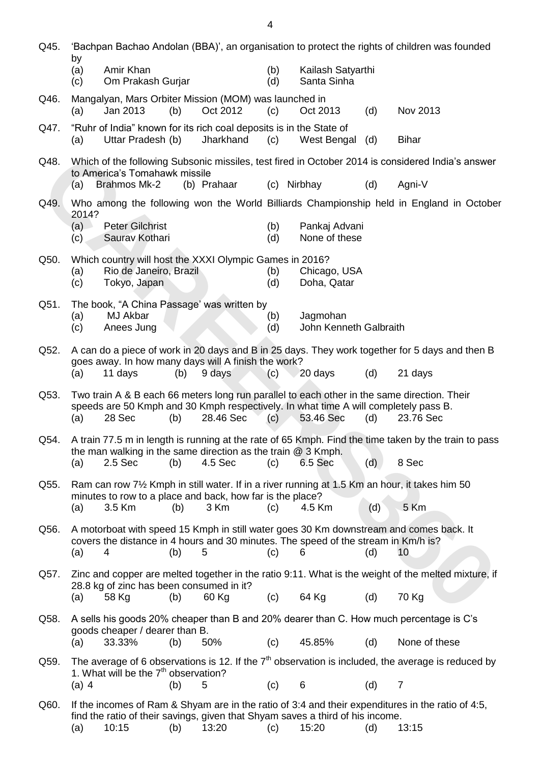| Q45. | 'Bachpan Bachao Andolan (BBA)', an organisation to protect the rights of children was founded |                                                                                               |     |             |            |                                    |     |                                                                                                                         |
|------|-----------------------------------------------------------------------------------------------|-----------------------------------------------------------------------------------------------|-----|-------------|------------|------------------------------------|-----|-------------------------------------------------------------------------------------------------------------------------|
|      | by<br>(a)<br>(c)                                                                              | Amir Khan<br>Om Prakash Gurjar                                                                |     |             | (b)<br>(d) | Kailash Satyarthi<br>Santa Sinha   |     |                                                                                                                         |
| Q46. | (a)                                                                                           | Mangalyan, Mars Orbiter Mission (MOM) was launched in<br>Jan 2013                             | (b) | Oct 2012    | (c)        | Oct 2013                           | (d) | Nov 2013                                                                                                                |
| Q47. | (a)                                                                                           | "Ruhr of India" known for its rich coal deposits is in the State of<br>Uttar Pradesh (b)      |     | Jharkhand   | (c)        | West Bengal                        | (d) | <b>Bihar</b>                                                                                                            |
| Q48. |                                                                                               |                                                                                               |     |             |            |                                    |     | Which of the following Subsonic missiles, test fired in October 2014 is considered India's answer                       |
|      | (a)                                                                                           | to America's Tomahawk missile<br><b>Brahmos Mk-2</b>                                          |     | (b) Prahaar | (c)        | Nirbhay                            | (d) | Agni-V                                                                                                                  |
| Q49. | 2014?                                                                                         |                                                                                               |     |             |            |                                    |     | Who among the following won the World Billiards Championship held in England in October                                 |
|      | (a)<br>(c)                                                                                    | <b>Peter Gilchrist</b><br>Saurav Kothari                                                      |     |             | (b)<br>(d) | Pankaj Advani<br>None of these     |     |                                                                                                                         |
| Q50. |                                                                                               | Which country will host the XXXI Olympic Games in 2016?                                       |     |             |            |                                    |     |                                                                                                                         |
|      | (a)<br>(c)                                                                                    | Rio de Janeiro, Brazil<br>Tokyo, Japan                                                        |     |             | (b)<br>(d) | Chicago, USA<br>Doha, Qatar        |     |                                                                                                                         |
| Q51. |                                                                                               | The book, "A China Passage' was written by                                                    |     |             |            |                                    |     |                                                                                                                         |
|      | (a)<br>(c)                                                                                    | MJ Akbar<br>Anees Jung                                                                        |     |             | (b)<br>(d) | Jagmohan<br>John Kenneth Galbraith |     |                                                                                                                         |
| Q52. |                                                                                               | goes away. In how many days will A finish the work?                                           |     |             |            |                                    |     | A can do a piece of work in 20 days and B in 25 days. They work together for 5 days and then B                          |
|      | (a)                                                                                           | 11 days                                                                                       | (b) | 9 days      | (c)        | 20 days                            | (d) | 21 days                                                                                                                 |
| Q53. | (a)                                                                                           | speeds are 50 Kmph and 30 Kmph respectively. In what time A will completely pass B.<br>28 Sec | (b) | 28.46 Sec   | (c)        | 53.46 Sec                          | (d) | Two train A & B each 66 meters long run parallel to each other in the same direction. Their<br>23.76 Sec                |
| Q54. |                                                                                               |                                                                                               |     |             |            |                                    |     | A train 77.5 m in length is running at the rate of 65 Kmph. Find the time taken by the train to pass                    |
|      | (a)                                                                                           | the man walking in the same direction as the train $@3$ Kmph.<br>2.5 Sec                      | (b) | 4.5 Sec     | (c)        | 6.5 Sec                            | (d) | 8 Sec                                                                                                                   |
| Q55. |                                                                                               | minutes to row to a place and back, how far is the place?                                     |     |             |            |                                    |     | Ram can row 7 <sup>1</sup> / <sub>2</sub> Kmph in still water. If in a river running at 1.5 Km an hour, it takes him 50 |
|      | (a)                                                                                           | 3.5 Km                                                                                        | (b) | 3 Km        | (c)        | 4.5 Km                             | (d) | 5 Km                                                                                                                    |
| Q56. | (a)                                                                                           | covers the distance in 4 hours and 30 minutes. The speed of the stream in Km/h is?<br>4       | (b) | 5           | (c)        | 6                                  | (d) | A motorboat with speed 15 Kmph in still water goes 30 Km downstream and comes back. It<br>10                            |
| Q57. |                                                                                               |                                                                                               |     |             |            |                                    |     | Zinc and copper are melted together in the ratio 9:11. What is the weight of the melted mixture, if                     |
|      | (a)                                                                                           | 28.8 kg of zinc has been consumed in it?<br>58 Kg                                             | (b) | 60 Kg       | (c)        | 64 Kg                              | (d) | 70 Kg                                                                                                                   |
| Q58. |                                                                                               |                                                                                               |     |             |            |                                    |     | A sells his goods 20% cheaper than B and 20% dearer than C. How much percentage is C's                                  |
|      | (a)                                                                                           | goods cheaper / dearer than B.<br>33.33%                                                      | (b) | 50%         | (c)        | 45.85%                             | (d) | None of these                                                                                                           |
| Q59. |                                                                                               |                                                                                               |     |             |            |                                    |     | The average of 6 observations is 12. If the $7th$ observation is included, the average is reduced by                    |
|      | $(a)$ 4                                                                                       | 1. What will be the 7 <sup>th</sup> observation?                                              | (b) | 5           | (c)        | 6                                  | (d) | $\overline{7}$                                                                                                          |
| Q60. |                                                                                               |                                                                                               |     |             |            |                                    |     | If the incomes of Ram & Shyam are in the ratio of 3:4 and their expenditures in the ratio of 4:5,                       |
|      | (a)                                                                                           | find the ratio of their savings, given that Shyam saves a third of his income.<br>10:15       | (b) | 13:20       | (c)        | 15:20                              | (d) | 13:15                                                                                                                   |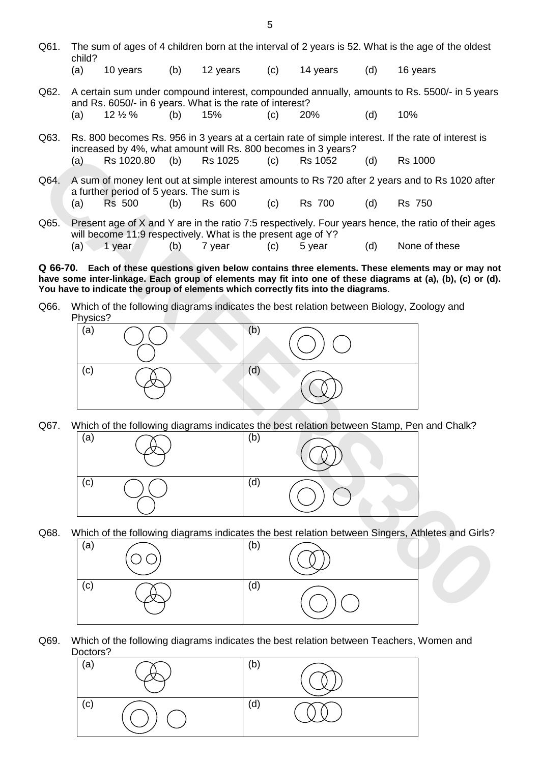- Q61. The sum of ages of 4 children born at the interval of 2 years is 52. What is the age of the oldest child?
	- (a) 10 years (b) 12 years (c) 14 years (d) 16 years
- Q62. A certain sum under compound interest, compounded annually, amounts to Rs. 5500/- in 5 years and Rs. 6050/- in 6 years. What is the rate of interest? (a)  $12\frac{1}{2}\%$  (b)  $15\%$  (c)  $20\%$  (d)  $10\%$
- Q63. Rs. 800 becomes Rs. 956 in 3 years at a certain rate of simple interest. If the rate of interest is increased by 4%, what amount will Rs. 800 becomes in 3 years? (a) Rs 1020.80 (b) Rs 1025 (c) Rs 1052 (d) Rs 1000
- Q64. A sum of money lent out at simple interest amounts to Rs 720 after 2 years and to Rs 1020 after a further period of 5 years. The sum is (a) Rs 500 (b) Rs 600 (c) Rs 700 (d) Rs 750
- Q65. Present age of X and Y are in the ratio 7:5 respectively. Four years hence, the ratio of their ages will become 11:9 respectively. What is the present age of Y? (a) 1 year (b) 7 year (c) 5 year (d) None of these

**Q 66-70. Each of these questions given below contains three elements. These elements may or may not**  have some inter-linkage. Each group of elements may fit into one of these diagrams at (a), (b), (c) or (d). **You have to indicate the group of elements which correctly fits into the diagrams**.

Q66. Which of the following diagrams indicates the best relation between Biology, Zoology and Physics?



Q67. Which of the following diagrams indicates the best relation between Stamp, Pen and Chalk?



Q68. Which of the following diagrams indicates the best relation between Singers, Athletes and Girls?



Q69. Which of the following diagrams indicates the best relation between Teachers, Women and Doctors?

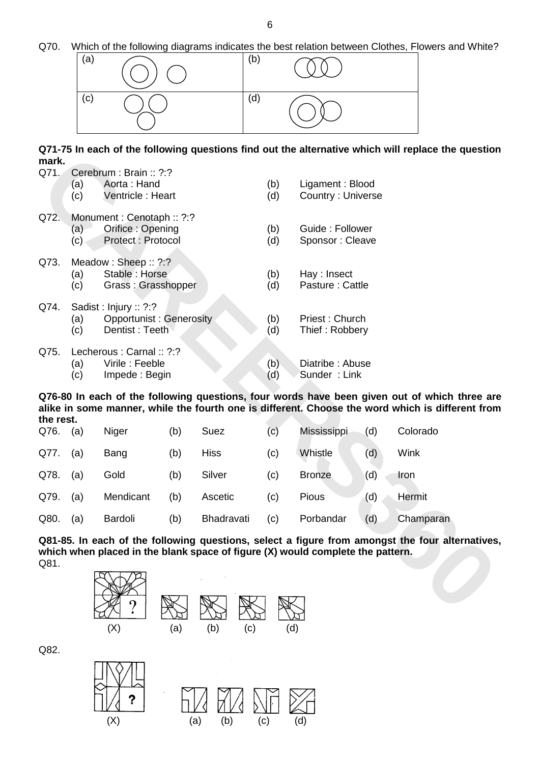Q70. Which of the following diagrams indicates the best relation between Clothes, Flowers and White?



**Q71-75 In each of the following questions find out the alternative which will replace the question mark.** 

| mark.     |                                                                                       |                                                                   |     |                                                                                |            |                                      |     | שו די ט ווו סמכון טו נווס וטווטאוווש קעסטוטווט ווווע טעג נווס מונסו וומנועס אוווטוו אווו וסףומכס נווס קעסטנוטו                                                                                   |  |  |
|-----------|---------------------------------------------------------------------------------------|-------------------------------------------------------------------|-----|--------------------------------------------------------------------------------|------------|--------------------------------------|-----|--------------------------------------------------------------------------------------------------------------------------------------------------------------------------------------------------|--|--|
| Q71.      | (a)<br>(c)                                                                            | Cerebrum: Brain: ?:?<br>Aorta: Hand<br>Ventricle: Heart           |     |                                                                                | (b)<br>(d) | Ligament: Blood<br>Country: Universe |     |                                                                                                                                                                                                  |  |  |
| Q72.      | (a)<br>(c)                                                                            | Monument: Cenotaph: ?:?<br>Orifice: Opening<br>Protect : Protocol |     |                                                                                | (b)<br>(d) | Guide: Follower<br>Sponsor: Cleave   |     |                                                                                                                                                                                                  |  |  |
| Q73.      | (a)<br>(c)                                                                            | Meadow: Sheep:: ?:?<br>Stable: Horse<br>Grass: Grasshopper        |     |                                                                                | (b)<br>(d) | Hay : Insect<br>Pasture: Cattle      |     |                                                                                                                                                                                                  |  |  |
| Q74.      | Sadist: Injury: ?:?<br><b>Opportunist: Generosity</b><br>(a)<br>Dentist: Teeth<br>(c) |                                                                   |     |                                                                                |            | Priest: Church<br>Thief: Robbery     |     |                                                                                                                                                                                                  |  |  |
| Q75.      | Lecherous : Carnal :: ?:?<br>Virile: Feeble<br>(a)<br>Impede: Begin<br>(c)            |                                                                   |     |                                                                                |            | Diatribe: Abuse<br>Sunder: Link      |     |                                                                                                                                                                                                  |  |  |
| the rest. |                                                                                       |                                                                   |     |                                                                                |            |                                      |     | Q76-80 In each of the following questions, four words have been given out of which three are<br>alike in some manner, while the fourth one is different. Choose the word which is different from |  |  |
| Q76.      | (a)                                                                                   | Niger                                                             | (b) | Suez                                                                           | (c)        | Mississippi                          | (d) | Colorado                                                                                                                                                                                         |  |  |
| Q77.      | (a)                                                                                   | Bang                                                              | (b) | <b>Hiss</b>                                                                    | (c)        | Whistle                              | (d) | Wink                                                                                                                                                                                             |  |  |
| Q78.      | (a)                                                                                   | Gold                                                              | (b) | Silver                                                                         | (c)        | <b>Bronze</b>                        | (d) | Iron                                                                                                                                                                                             |  |  |
| Q79.      | (a)                                                                                   | Mendicant                                                         | (b) | Ascetic                                                                        | (c)        | Pious                                | (d) | Hermit                                                                                                                                                                                           |  |  |
| Q80.      | (a)                                                                                   | Bardoli                                                           | (b) | Bhadravati                                                                     | (c)        | Porbandar                            | (d) | Champaran                                                                                                                                                                                        |  |  |
| Q81.      |                                                                                       |                                                                   |     | which when placed in the blank space of figure (X) would complete the pattern. |            |                                      |     | Q81-85. In each of the following questions, select a figure from amongst the four alternatives                                                                                                   |  |  |
|           |                                                                                       |                                                                   |     |                                                                                |            |                                      |     |                                                                                                                                                                                                  |  |  |

| Q76. | (a) | Niger     | (b) | Suez        | (c) | Mississippi   | (d) | Colorado  |
|------|-----|-----------|-----|-------------|-----|---------------|-----|-----------|
| Q77. | (a) | Bang      | (b) | <b>Hiss</b> | (c) | Whistle       | (d) | Wink      |
| Q78. | (a) | Gold      | (b) | Silver      | (c) | <b>Bronze</b> | (d) | Iron      |
| Q79. | (a) | Mendicant | (b) | Ascetic     | (c) | Pious         | (d) | Hermit    |
| Q80. | (a) | Bardoli   | (b) | Bhadravati  | (c) | Porbandar     | (d) | Champaran |



Q82.

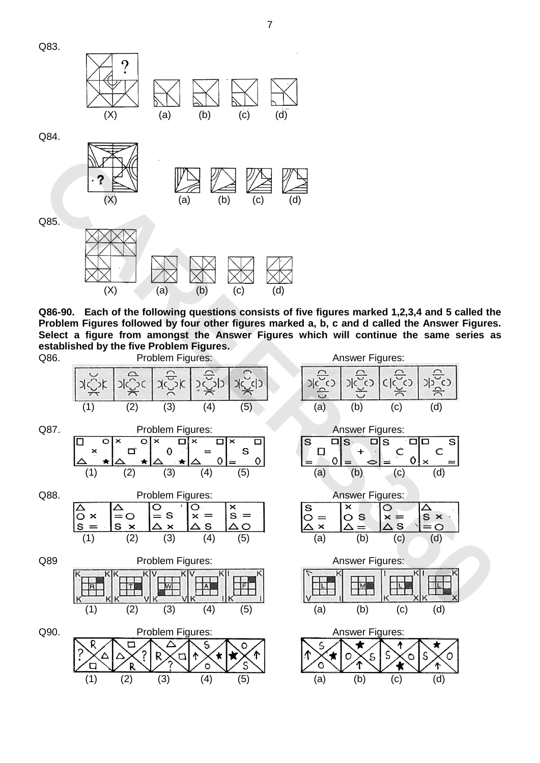

 $(X)$  (a) (b) (c) (d)

**Q86-90. Each of the following questions consists of five figures marked 1,2,3,4 and 5 called the Problem Figures followed by four other figures marked a, b, c and d called the Answer Figures. Select a figure from amongst the Answer Figures which will continue the same series as established by the five Problem Figures.** 



7